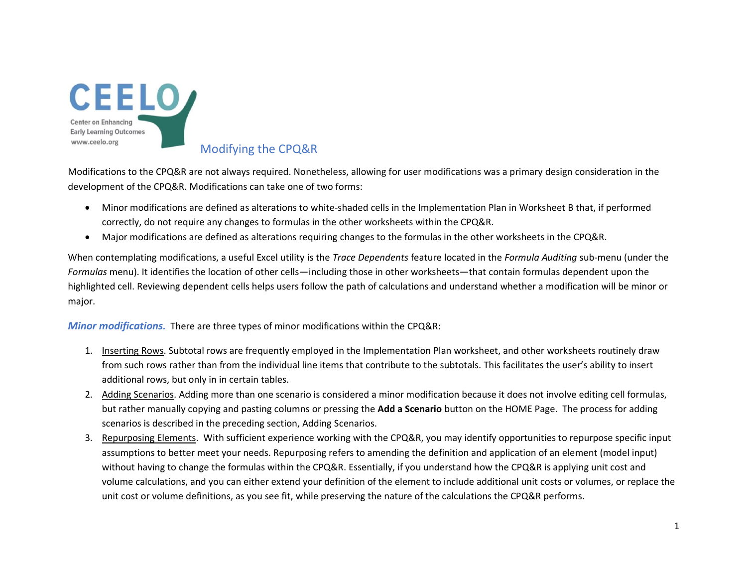

## Modifying the CPQ&R

Modifications to the CPQ&R are not always required. Nonetheless, allowing for user modifications was a primary design consideration in the development of the CPQ&R. Modifications can take one of two forms:

- Minor modifications are defined as alterations to white-shaded cells in the Implementation Plan in Worksheet B that, if performed correctly, do not require any changes to formulas in the other worksheets within the CPQ&R.
- Major modifications are defined as alterations requiring changes to the formulas in the other worksheets in the CPQ&R.

When contemplating modifications, a useful Excel utility is the *Trace Dependents* feature located in the *Formula Auditing* sub-menu (under the *Formulas* menu). It identifies the location of other cells—including those in other worksheets—that contain formulas dependent upon the highlighted cell. Reviewing dependent cells helps users follow the path of calculations and understand whether a modification will be minor or major.

*Minor modifications.* There are three types of minor modifications within the CPQ&R:

- 1. Inserting Rows. Subtotal rows are frequently employed in the Implementation Plan worksheet, and other worksheets routinely draw from such rows rather than from the individual line items that contribute to the subtotals. This facilitates the user's ability to insert additional rows, but only in in certain tables.
- 2. Adding Scenarios. Adding more than one scenario is considered a minor modification because it does not involve editing cell formulas, but rather manually copying and pasting columns or pressing the **Add a Scenario** button on the HOME Page. The process for adding scenarios is described in the preceding section, Adding Scenarios.
- 3. Repurposing Elements. With sufficient experience working with the CPQ&R, you may identify opportunities to repurpose specific input assumptions to better meet your needs. Repurposing refers to amending the definition and application of an element (model input) without having to change the formulas within the CPQ&R. Essentially, if you understand how the CPQ&R is applying unit cost and volume calculations, and you can either extend your definition of the element to include additional unit costs or volumes, or replace the unit cost or volume definitions, as you see fit, while preserving the nature of the calculations the CPQ&R performs.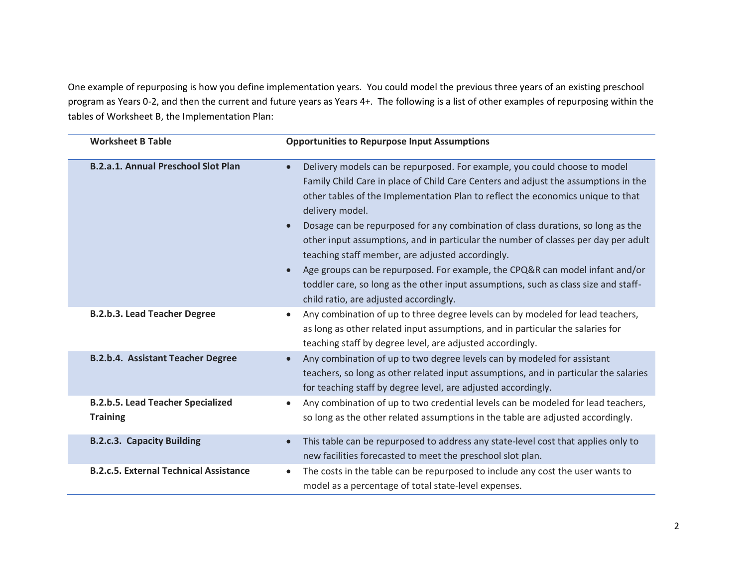One example of repurposing is how you define implementation years. You could model the previous three years of an existing preschool program as Years 0-2, and then the current and future years as Years 4+. The following is a list of other examples of repurposing within the tables of Worksheet B, the Implementation Plan:

| <b>Worksheet B Table</b>                                    | <b>Opportunities to Repurpose Input Assumptions</b>                                                                                                                                                                                                                                                                                                                                                                                                                                                                                                                                                                                                                                                                 |
|-------------------------------------------------------------|---------------------------------------------------------------------------------------------------------------------------------------------------------------------------------------------------------------------------------------------------------------------------------------------------------------------------------------------------------------------------------------------------------------------------------------------------------------------------------------------------------------------------------------------------------------------------------------------------------------------------------------------------------------------------------------------------------------------|
| <b>B.2.a.1. Annual Preschool Slot Plan</b>                  | Delivery models can be repurposed. For example, you could choose to model<br>Family Child Care in place of Child Care Centers and adjust the assumptions in the<br>other tables of the Implementation Plan to reflect the economics unique to that<br>delivery model.<br>Dosage can be repurposed for any combination of class durations, so long as the<br>other input assumptions, and in particular the number of classes per day per adult<br>teaching staff member, are adjusted accordingly.<br>Age groups can be repurposed. For example, the CPQ&R can model infant and/or<br>toddler care, so long as the other input assumptions, such as class size and staff-<br>child ratio, are adjusted accordingly. |
| <b>B.2.b.3. Lead Teacher Degree</b>                         | Any combination of up to three degree levels can by modeled for lead teachers,<br>as long as other related input assumptions, and in particular the salaries for<br>teaching staff by degree level, are adjusted accordingly.                                                                                                                                                                                                                                                                                                                                                                                                                                                                                       |
| B.2.b.4. Assistant Teacher Degree                           | Any combination of up to two degree levels can by modeled for assistant<br>teachers, so long as other related input assumptions, and in particular the salaries<br>for teaching staff by degree level, are adjusted accordingly.                                                                                                                                                                                                                                                                                                                                                                                                                                                                                    |
| <b>B.2.b.5. Lead Teacher Specialized</b><br><b>Training</b> | Any combination of up to two credential levels can be modeled for lead teachers,<br>so long as the other related assumptions in the table are adjusted accordingly.                                                                                                                                                                                                                                                                                                                                                                                                                                                                                                                                                 |
| <b>B.2.c.3. Capacity Building</b>                           | This table can be repurposed to address any state-level cost that applies only to<br>new facilities forecasted to meet the preschool slot plan.                                                                                                                                                                                                                                                                                                                                                                                                                                                                                                                                                                     |
| <b>B.2.c.5. External Technical Assistance</b>               | The costs in the table can be repurposed to include any cost the user wants to<br>model as a percentage of total state-level expenses.                                                                                                                                                                                                                                                                                                                                                                                                                                                                                                                                                                              |